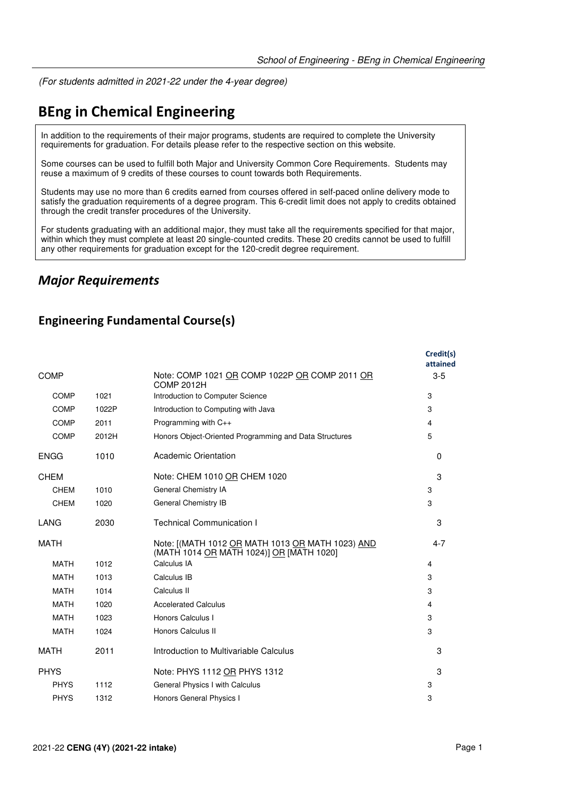(For students admitted in 2021-22 under the 4-year degree)

# **BEng in Chemical Engineering**

In addition to the requirements of their major programs, students are required to complete the University requirements for graduation. For details please refer to the respective section on this website.

Some courses can be used to fulfill both Major and University Common Core Requirements. Students may reuse a maximum of 9 credits of these courses to count towards both Requirements.

Students may use no more than 6 credits earned from courses offered in self-paced online delivery mode to satisfy the graduation requirements of a degree program. This 6-credit limit does not apply to credits obtained through the credit transfer procedures of the University.

For students graduating with an additional major, they must take all the requirements specified for that major, within which they must complete at least 20 single-counted credits. These 20 credits cannot be used to fulfill any other requirements for graduation except for the 120-credit degree requirement.

### *Major Requirements*

### **Engineering Fundamental Course(s)**

|             |       |                                                                                              | Credit(s)<br>attained |
|-------------|-------|----------------------------------------------------------------------------------------------|-----------------------|
| <b>COMP</b> |       | Note: COMP 1021 OR COMP 1022P OR COMP 2011 OR<br><b>COMP 2012H</b>                           | $3-5$                 |
| <b>COMP</b> | 1021  | Introduction to Computer Science                                                             | 3                     |
| COMP        | 1022P | Introduction to Computing with Java                                                          | 3                     |
| <b>COMP</b> | 2011  | Programming with $C_{++}$                                                                    | 4                     |
| COMP        | 2012H | Honors Object-Oriented Programming and Data Structures                                       | 5                     |
| <b>ENGG</b> | 1010  | Academic Orientation                                                                         | $\Omega$              |
| <b>CHEM</b> |       | Note: CHEM 1010 OR CHEM 1020                                                                 | 3                     |
| <b>CHEM</b> | 1010  | General Chemistry IA                                                                         | 3                     |
| <b>CHEM</b> | 1020  | General Chemistry IB                                                                         | 3                     |
| LANG        | 2030  | <b>Technical Communication I</b>                                                             | 3                     |
| <b>MATH</b> |       | Note: [(MATH 1012 OR MATH 1013 OR MATH 1023) AND<br>(MATH 1014 OR MATH 1024)] OR [MATH 1020] | $4 - 7$               |
| <b>MATH</b> | 1012  | Calculus IA                                                                                  | 4                     |
| <b>MATH</b> | 1013  | Calculus IB                                                                                  | 3                     |
| <b>MATH</b> | 1014  | Calculus II                                                                                  | 3                     |
| <b>MATH</b> | 1020  | <b>Accelerated Calculus</b>                                                                  | 4                     |
| <b>MATH</b> | 1023  | Honors Calculus I                                                                            | 3                     |
| <b>MATH</b> | 1024  | Honors Calculus II                                                                           | 3                     |
| <b>MATH</b> | 2011  | Introduction to Multivariable Calculus                                                       | 3                     |
| <b>PHYS</b> |       | Note: PHYS 1112 OR PHYS 1312                                                                 | 3                     |
| <b>PHYS</b> | 1112  | General Physics I with Calculus                                                              | 3                     |
| <b>PHYS</b> | 1312  | Honors General Physics I                                                                     | 3                     |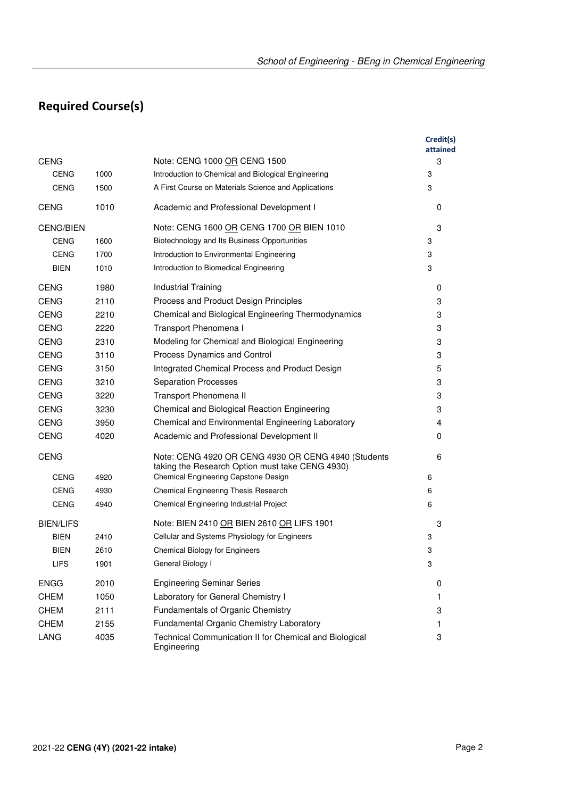# **Required Course(s)**

|                  |      |                                                                                                        | Credit(s)<br>attained |
|------------------|------|--------------------------------------------------------------------------------------------------------|-----------------------|
| <b>CENG</b>      |      | Note: CENG 1000 OR CENG 1500                                                                           | 3                     |
| <b>CENG</b>      | 1000 | Introduction to Chemical and Biological Engineering                                                    | 3                     |
| <b>CENG</b>      | 1500 | A First Course on Materials Science and Applications                                                   | 3                     |
| <b>CENG</b>      | 1010 | Academic and Professional Development I                                                                | 0                     |
| <b>CENG/BIEN</b> |      | Note: CENG 1600 OR CENG 1700 OR BIEN 1010                                                              | 3                     |
| CENG             | 1600 | Biotechnology and Its Business Opportunities                                                           | 3                     |
| <b>CENG</b>      | 1700 | Introduction to Environmental Engineering                                                              | 3                     |
| BIEN             | 1010 | Introduction to Biomedical Engineering                                                                 | 3                     |
| <b>CENG</b>      | 1980 | Industrial Training                                                                                    | 0                     |
| <b>CENG</b>      | 2110 | Process and Product Design Principles                                                                  | 3                     |
| <b>CENG</b>      | 2210 | Chemical and Biological Engineering Thermodynamics                                                     | 3                     |
| <b>CENG</b>      | 2220 | Transport Phenomena I                                                                                  | 3                     |
| <b>CENG</b>      | 2310 | Modeling for Chemical and Biological Engineering                                                       | 3                     |
| <b>CENG</b>      | 3110 | <b>Process Dynamics and Control</b>                                                                    | 3                     |
| <b>CENG</b>      | 3150 | Integrated Chemical Process and Product Design                                                         | 5                     |
| <b>CENG</b>      | 3210 | <b>Separation Processes</b>                                                                            | 3                     |
| <b>CENG</b>      | 3220 | Transport Phenomena II                                                                                 | 3                     |
| <b>CENG</b>      | 3230 | Chemical and Biological Reaction Engineering                                                           | 3                     |
| <b>CENG</b>      | 3950 | Chemical and Environmental Engineering Laboratory                                                      | 4                     |
| <b>CENG</b>      | 4020 | Academic and Professional Development II                                                               | 0                     |
| <b>CENG</b>      |      | Note: CENG 4920 OR CENG 4930 OR CENG 4940 (Students<br>taking the Research Option must take CENG 4930) | 6                     |
| <b>CENG</b>      | 4920 | Chemical Engineering Capstone Design                                                                   | 6                     |
| <b>CENG</b>      | 4930 | Chemical Engineering Thesis Research                                                                   | 6                     |
| <b>CENG</b>      | 4940 | Chemical Engineering Industrial Project                                                                | 6                     |
| <b>BIEN/LIFS</b> |      | Note: BIEN 2410 OR BIEN 2610 OR LIFS 1901                                                              | 3                     |
| <b>BIEN</b>      | 2410 | Cellular and Systems Physiology for Engineers                                                          | 3                     |
| BIEN             | 2610 | <b>Chemical Biology for Engineers</b>                                                                  | 3                     |
| <b>LIFS</b>      | 1901 | General Biology I                                                                                      | 3                     |
| <b>ENGG</b>      | 2010 | <b>Engineering Seminar Series</b>                                                                      | 0                     |
| <b>CHEM</b>      | 1050 | Laboratory for General Chemistry I                                                                     | $\mathbf{1}$          |
| <b>CHEM</b>      | 2111 | Fundamentals of Organic Chemistry                                                                      | 3                     |
| <b>CHEM</b>      | 2155 | Fundamental Organic Chemistry Laboratory                                                               | 1                     |
| LANG             | 4035 | Technical Communication II for Chemical and Biological<br>Engineering                                  | 3                     |